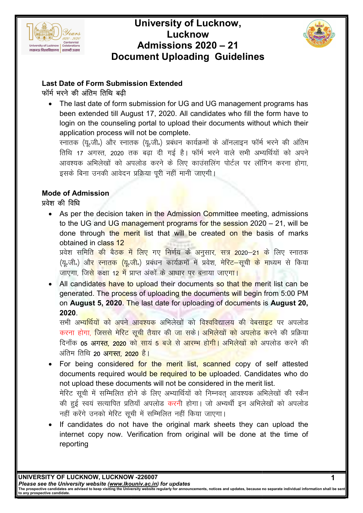

### Document Uploading Guidelines University of Lucknow, Lucknow Admissions 2020 – 21



#### Last Date of Form Submission Extended फॉर्म भरने की अंतिम तिथि बढी

• The last date of form submission for UG and UG management programs has been extended till August 17, 2020. All candidates who fill the form have to login on the counseling portal to upload their documents without which their<br>application process will not be complete. application process will not be complete.

स्नातक (यू.जी.) और स्नातक (यू.जी.) प्रबंधन कार्यक्रमों के ऑनलाइन फॉर्म भरने की अंतिम तिथि 17 अगस्त, 2020 तक बढ़ा दी गई है। फॉर्म भरने वाले सभी अभ्यर्थियों को अपने<br>आवश्यक अभिलेखों को अपलोड करने के लिए काउंसलिंग पोर्टल पर लॉगिन करना होगा,<br>इसके बिना उनकी आवेदन प्रक्रिया पूरी नहीं मानी जाएगी। आवश्यक अभिलेखों को अपलोड करने के लिए काउंसलिंग पोर्टल पर लॉगिन करना होगा, इसके बिना उनकी आवेदन प्रक्रिया पूरी नहीं मानी जाएगी।

#### Mode of Admission प्रवेश की विधि

• As per the decision taken in the Admission Committee meeting, admissions to the UG and UG management programs for the session 2020 – 21, will be to the UG and UG management programs for the session 2020 – 21, will be<br>done through the <mark>merit l</mark>ist that will be create<mark>d on the</mark> basis of marks obtained in class 12

प्रवेश समित<mark>ि की बैठक में लिए गए निर्णय के अनुसार, सत्र 20</mark>20—<mark>21 के</mark> लिए स्नातक (यू.जी.) औ<mark>र स्नातक (यू.जी.</mark>) प्रबंधन कार्यक्रमों में प्रवेश, मे<mark>रिट—सूची के म</mark>ाध्यम से किया जाएगा, जि<mark>से कक्षा 12 में प्राप्त</mark> अंकों के आधार पर बनाया जाए<mark>गा।</mark>

• All candidates have to upload their documents so that the merit list can be generated. The process of uploading the documents will begin from 5:00 PM on August 5, 2020. The last date for uploading of documents is August 20, 2020. All candidates <mark>have to upload their documents so that the</mark> merit list can<br>generated. The process of uploading the documents will begin from 5:00 I<br>on **August 5, 2020**. The last date for uploading of documents is **August**

सभी अ<mark>भ्यर्थियों को अपने आवश्यक अ</mark>भिलेखों को विश्<mark>ववि</mark>द्यालय की वेबसाइट पर अपलोड करना हो<mark>गा, जिससे मेरिट सूची तैयार की जा स</mark>के। अ<mark>भिलेखों को अपलोड क</mark>रने की प्रक्रिया दिनाँक **05 अगस्<mark>त, 2020</mark> क<mark>ो सायं 5 बजे से आरम्भ होगी।</mark> अभिलेखों को अ**पलोड करने की अंतिम तिथि **20 अ<mark>गस्त, 2020</mark> है।** 

- For being considered for the merit list, scanned copy of self attested documents required would be required to be uploaded. Candidates who do not upload these documents will not be considered in the merit list. मेरिट सूची में सम्मिलित होने के लिए अभ्यार्थियों को निम्नवत् आवश्यक अभिलेखों की स्कैन की हुई स्वयं सत्यापित प्रतियाँ अपलोड करनी होगा। जो अभ्यर्थी इन अभिलेखों को अपलोड नहीं करेंगे उनको मेरिट सूची में सम्मिलित नहीं किया जाएगा। m **Extended**<br>mission for UG and UG management programs<br>that 17, 2020. All candidates who fill the form have<br>orbital to upload their documents without which that<br>to the complete.<br>(यू.जी.) प्रबंधन कार्यक्रमों के ऑनलाइन फॉर्
- If candidates do not have the original mark sheets they can upload the If candidates do not have the original mark sheets they can upload the<br>internet copy now. Verification from original will be done at the time of reporting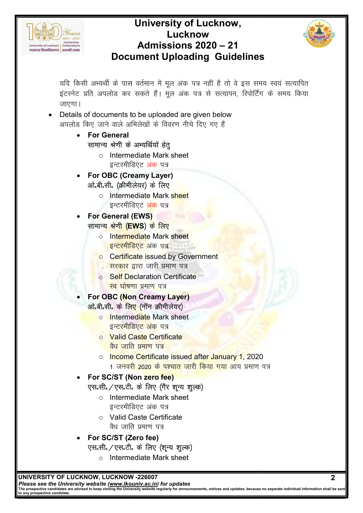

### Document Uploading Guidelines University of Lucknow, Lucknow Admissions 2020 – 21



यदि किसी अभ्यर्थी के पास वर्तमान में मूल अंक पत्र नहीं है तो वे इस समय स्वयं सत्यापित इंटरनेट प्रति अपलोड कर सकते हैं। मूल अंक पत्र से सत्यापन, रिपोर्टिंग के समय किया जाएगा। पास वर्तमान में मूल अंक पत्र नहीं है तो वे इस समय<br>कर सकते हैं ! मूल अंक पत्र नहीं है तो वे इस समय<br>कर सकते हैं ! मूल अंक पत्र से सत्यापन, रिपोर्टिंग वं<br>stall<br>comediate Mark sheet<br>emediate Mark sheet<br>mediate Mark sheet<br>medi

• Details of documents to be uploaded are given below अपलोड किए जाने वाले अभिलेखों के विवरण नीचे दिए गए हैं

- For General सामान्य श्रेणी के अभ्यर्थियों हेतु .<br>.
	- o Intermediate Mark sheet इन्टरमीडिएट अं<mark>क</mark> पत्र
- For OBC (Creamy Layer) ओ॰बी॰सी॰ (क्रीमीलेयर) के लिए
	- Intermediate Mark s<mark>hee</mark>t इन्टरमीडिएट <mark>अंक</mark> पत्र

### For General (EWS) सामान्<mark>य श्रेणी (EWS</mark>) के लिए

- o Intermediate Mark sheet <mark>इन्टरमीडिएट अं</mark>क पत्र
- **o** Certificate issued by Government
- <mark>. सरकार द्वा</mark>रा जारी प्रमाण पत्र
- o Self Declaration Certificate <mark>स्व घोषणा प्रमाण पत्र</mark>
- For OBC (Non Creamy Layer) ओ.बी.सी. के लिए (नॉन क्रीमीलेयर)
	- o Intermediate Mark sheet इ<mark>न्टरमीडिएट अंक</mark> पत्र
	- o Valid Caste Certificate <mark>वैध जाति प्रमाण</mark> पत्<mark>र</mark>
	- o Income Certificate issued after January 1, 2020 1 जनव<mark>री 2020 के पश्चात जारी किया गया आ</mark>य प्रमाण पत्र

### • For SC/ST (Non zero fee) एस॰सी॰/एस॰टी॰ के लिए (गैर शून्य शुल्क)

- o Intermediate Mark sheet इन्टरमीडिएट अंक पत्र
- o Valid C Caste Certificate वैध जाति प्रमाण पत्र
- For SC/ST (Z (Zero fee)
	- एस॰सी॰/एस॰टी॰ के लिए (शून्य शुल्क)
		- o Intermediate Mark sheet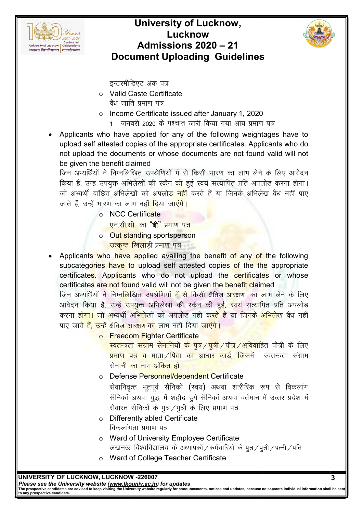

# Document Uploading Guidelines University of Lucknow, Lucknow Admissions 2020 – 21



इन्टरमीडिएट अंक पत्र

- o Valid C Caste Certificate वैध जाति प्रमाण पत्र
- o Income Certificate issued after January 1, 2020 1 जनवरी 2020 के पश्चात जारी किया गया आय प्रमाण पत्र
- Applicants who have applied for any of the following weightages have to upload self attested copies of the appropriate certificates. Applicants who do not upload the documents or whose documents are not found valid will not be given the benefit claimed Applicants who have applied for any of the following weightages have to<br>upload self attested copies of the appropriate certificates. Applicants who do<br>not upload the documents or whose documents are not found valid will no ाण पत्र<br>htages have to<br>plicants who do<br>nd valid will not<br>ने के लिए आवेदन<br>पलोड करना होगा।<br>लेख वैध नहीं पाए

जिन अभ्यर्थियों ने निम्नलिखित उपश्रेणियों में से किसी भारण का लाभ लेने के लिए आवेदन किया है, उन्ह उपयुक्त अभिलेखों की स्कैन <mark>क</mark>ी हुई स्वयं सत्यापित प्रति अपलोड करना होगा। जो अभ्यर्थी वांछित अभिलेखों को अपलोड<mark> नहीं</mark> करते हैं या जिनके अभिले जाते हैं, उन्हें भारण का लाभ नह<mark>ीं दि</mark>या जा<mark>एंगे</mark>।

- o NCC Certificate ा का लाभ नहीं दिया जा<mark>एंगे।</mark><br>NCC Certificate<br>एन.सी.सी. का "**बी**" प्रमाण पत्र
- o Out standing sportsperson <mark>उत्कृष्ट खिला</mark>ड़ी प्रमाण पत्र
- Applicants who have applied availing the benefit of any of the following subcategories have to upload self attested copies of the the appropriate certificate<mark>s. Applicants</mark> who do not upload the certificates or whose certificates are not found valid will not be given the benefit claimed जिन अभ्यर्थियों ने निम्<mark>नलि</mark>खित उपश्रेणियों <mark>में से कि</mark>सी क्षैतिज <mark>आरक्ष</mark>ण का लाभ लेने के लिए डिएट अंक पत्र<br>Caste Certificate<br>ति प्रमाण पत्र<br>e Certificate issued after Jan<br>लक्षी 2020 के पश्चात जारी किया ग<br>applied for any of the follo<br>opies of the appropriate certi<br>nents or whose documents a<br>laimed<br> $\frac{1}{\sqrt{3}}$  and subcateg<mark>ories have to u</mark>pload self attested copies<br>certificate<mark>s.</mark> Appl<mark>icants who do not upload the</mark><br>certificates are not found valid will not be given the be

जिन अभ्यर्थियों ने निम्<mark>नलि</mark>खित उपश्रेणियो<mark>ं में से</mark> किसी क्षैतिज आरक्षण का लाभ लेने के लिए<br>आवेदन किया है, उन्हें <mark>उपयुक्त</mark> अभिलेखों की स्कैन की हुई<mark>, स्वयं सत्यापित प्रति</mark> अपलोड करना <mark>होगा। जो अभ्यर्थी अभिले</mark>खों को अपलोड नहीं क<mark>रते हैं या जिनके अभिले</mark>ख वैध नहीं पाए ज<mark>ाते हैं, उन्हें क्षैतिज आरक्षण का लाभ नहीं दिया जाएंगे।</mark>

o Freedom Fighter Certificate

स्वतन्त्रता संग्राम सेनानियों के पुत्र /पुत्री /पौत्र /अविवाहित पौत्री के लिए <mark>प्रमाण पत्र व माता /पिता का आधार–कार्ड, जिसमें</mark> ज सेनानी का नाम अंकित हो। स्वतन्त्रता संग्राम

- o Defense Personnel/dependent Certificate सेवानिवृत्त भूतपूर्व सैनिकों **(**स्वयं**)** अथवा शारीरिक रूप से विकलांग सैनिकों अथवा युद्ध में शहीद हुये सैनिकों अथवा वर्तमान में उत्तर प्रदेश में<br>सेवारत सैनिकों के पुत्र ⁄ पुत्री के लिए प्रमाण पत्र सेवारत सैनिकों के पुत्र / पुत्री के लिए प्रमाण पत्र
- o Differently abled Certificate विकलांगता प्रमाण पत्र
- $\circ$  Ward of University Employee Certificate लखनऊ विश्वविद्यालय के अध्यापकों / कर्मचारियों के पुत्र / पुत्री / पत्नी / पति
- o Ward of College Teacher Certificate